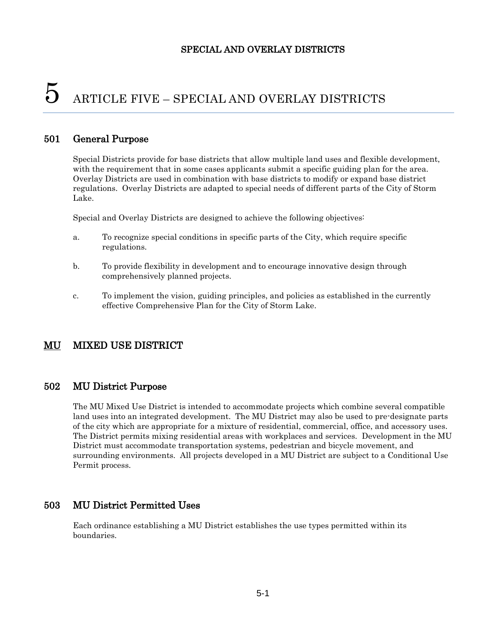# $5$  ARTICLE FIVE – SPECIAL AND OVERLAY DISTRICTS

## 501 General Purpose

Special Districts provide for base districts that allow multiple land uses and flexible development, with the requirement that in some cases applicants submit a specific guiding plan for the area. Overlay Districts are used in combination with base districts to modify or expand base district regulations. Overlay Districts are adapted to special needs of different parts of the City of Storm Lake.

Special and Overlay Districts are designed to achieve the following objectives:

- a. To recognize special conditions in specific parts of the City, which require specific regulations.
- b. To provide flexibility in development and to encourage innovative design through comprehensively planned projects.
- c. To implement the vision, guiding principles, and policies as established in the currently effective Comprehensive Plan for the City of Storm Lake.

# MU MIXED USE DISTRICT

## 502 MU District Purpose

The MU Mixed Use District is intended to accommodate projects which combine several compatible land uses into an integrated development. The MU District may also be used to pre-designate parts of the city which are appropriate for a mixture of residential, commercial, office, and accessory uses. The District permits mixing residential areas with workplaces and services. Development in the MU District must accommodate transportation systems, pedestrian and bicycle movement, and surrounding environments. All projects developed in a MU District are subject to a Conditional Use Permit process.

# 503 MU District Permitted Uses

Each ordinance establishing a MU District establishes the use types permitted within its boundaries.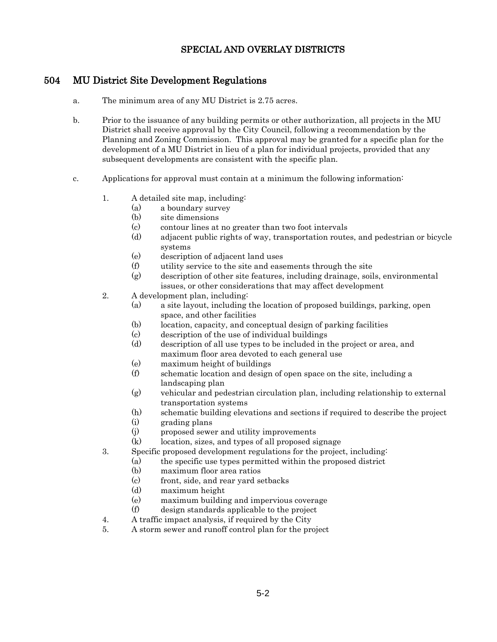## 504 MU District Site Development Regulations

- a. The minimum area of any MU District is 2.75 acres.
- b. Prior to the issuance of any building permits or other authorization, all projects in the MU District shall receive approval by the City Council, following a recommendation by the Planning and Zoning Commission. This approval may be granted for a specific plan for the development of a MU District in lieu of a plan for individual projects, provided that any subsequent developments are consistent with the specific plan.
- c. Applications for approval must contain at a minimum the following information:
	- 1. A detailed site map, including:
		- (a) a boundary survey
		- (b) site dimensions
		- (c) contour lines at no greater than two foot intervals
		- (d) adjacent public rights of way, transportation routes, and pedestrian or bicycle systems
		- (e) description of adjacent land uses
		- (f) utility service to the site and easements through the site
		- (g) description of other site features, including drainage, soils, environmental issues, or other considerations that may affect development
	- 2. A development plan, including:
		- (a) a site layout, including the location of proposed buildings, parking, open space, and other facilities
		- (b) location, capacity, and conceptual design of parking facilities
		- (c) description of the use of individual buildings
		- (d) description of all use types to be included in the project or area, and maximum floor area devoted to each general use
		- (e) maximum height of buildings
		- (f) schematic location and design of open space on the site, including a landscaping plan
		- (g) vehicular and pedestrian circulation plan, including relationship to external transportation systems
		- (h) schematic building elevations and sections if required to describe the project
		- (i) grading plans
		- (j) proposed sewer and utility improvements
		- (k) location, sizes, and types of all proposed signage
	- 3. Specific proposed development regulations for the project, including:
		- (a) the specific use types permitted within the proposed district
		- (b) maximum floor area ratios
		- (c) front, side, and rear yard setbacks
		- (d) maximum height
		- (e) maximum building and impervious coverage
		- (f) design standards applicable to the project
	- 4. A traffic impact analysis, if required by the City
	- 5. A storm sewer and runoff control plan for the project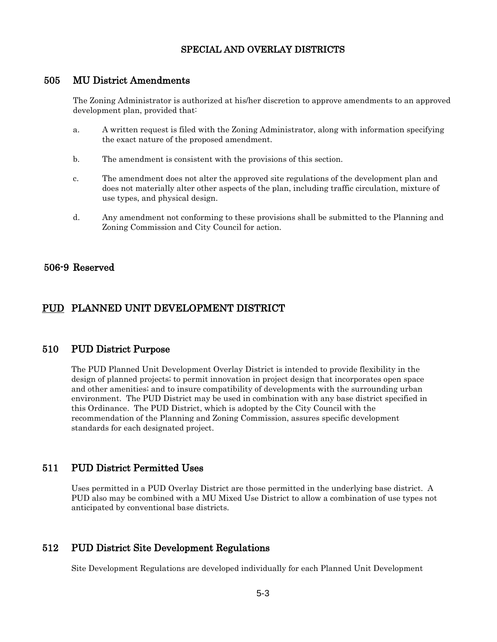#### 505 MU District Amendments

The Zoning Administrator is authorized at his/her discretion to approve amendments to an approved development plan, provided that:

- a. A written request is filed with the Zoning Administrator, along with information specifying the exact nature of the proposed amendment.
- b. The amendment is consistent with the provisions of this section.
- c. The amendment does not alter the approved site regulations of the development plan and does not materially alter other aspects of the plan, including traffic circulation, mixture of use types, and physical design.
- d. Any amendment not conforming to these provisions shall be submitted to the Planning and Zoning Commission and City Council for action.

#### 506-9 Reserved

## PUD PLANNED UNIT DEVELOPMENT DISTRICT

#### 510 PUD District Purpose

The PUD Planned Unit Development Overlay District is intended to provide flexibility in the design of planned projects; to permit innovation in project design that incorporates open space and other amenities; and to insure compatibility of developments with the surrounding urban environment. The PUD District may be used in combination with any base district specified in this Ordinance. The PUD District, which is adopted by the City Council with the recommendation of the Planning and Zoning Commission, assures specific development standards for each designated project.

## 511 PUD District Permitted Uses

Uses permitted in a PUD Overlay District are those permitted in the underlying base district. A PUD also may be combined with a MU Mixed Use District to allow a combination of use types not anticipated by conventional base districts.

#### 512 PUD District Site Development Regulations

Site Development Regulations are developed individually for each Planned Unit Development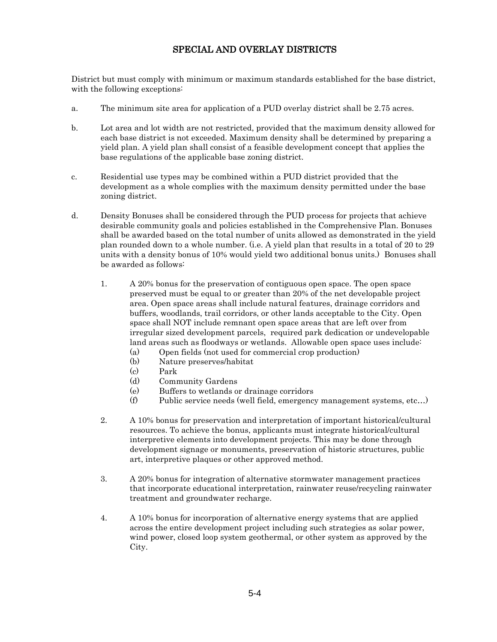District but must comply with minimum or maximum standards established for the base district, with the following exceptions:

- a. The minimum site area for application of a PUD overlay district shall be 2.75 acres.
- b. Lot area and lot width are not restricted, provided that the maximum density allowed for each base district is not exceeded. Maximum density shall be determined by preparing a yield plan. A yield plan shall consist of a feasible development concept that applies the base regulations of the applicable base zoning district.
- c. Residential use types may be combined within a PUD district provided that the development as a whole complies with the maximum density permitted under the base zoning district.
- d. Density Bonuses shall be considered through the PUD process for projects that achieve desirable community goals and policies established in the Comprehensive Plan. Bonuses shall be awarded based on the total number of units allowed as demonstrated in the yield plan rounded down to a whole number. (i.e. A yield plan that results in a total of 20 to 29 units with a density bonus of 10% would yield two additional bonus units.) Bonuses shall be awarded as follows:
	- 1. A 20% bonus for the preservation of contiguous open space. The open space preserved must be equal to or greater than 20% of the net developable project area. Open space areas shall include natural features, drainage corridors and buffers, woodlands, trail corridors, or other lands acceptable to the City. Open space shall NOT include remnant open space areas that are left over from irregular sized development parcels, required park dedication or undevelopable land areas such as floodways or wetlands. Allowable open space uses include:
		- (a) Open fields (not used for commercial crop production)
		- (b) Nature preserves/habitat
		- (c) Park
		- (d) Community Gardens
		- (e) Buffers to wetlands or drainage corridors
		- (f) Public service needs (well field, emergency management systems, etc…)
	- 2. A 10% bonus for preservation and interpretation of important historical/cultural resources. To achieve the bonus, applicants must integrate historical/cultural interpretive elements into development projects. This may be done through development signage or monuments, preservation of historic structures, public art, interpretive plaques or other approved method.
	- 3. A 20% bonus for integration of alternative stormwater management practices that incorporate educational interpretation, rainwater reuse/recycling rainwater treatment and groundwater recharge.
	- 4. A 10% bonus for incorporation of alternative energy systems that are applied across the entire development project including such strategies as solar power, wind power, closed loop system geothermal, or other system as approved by the City.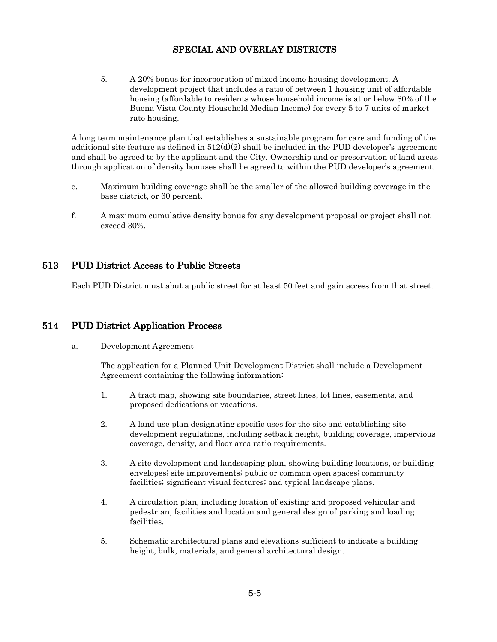5. A 20% bonus for incorporation of mixed income housing development. A development project that includes a ratio of between 1 housing unit of affordable housing (affordable to residents whose household income is at or below 80% of the Buena Vista County Household Median Income) for every 5 to 7 units of market rate housing.

A long term maintenance plan that establishes a sustainable program for care and funding of the additional site feature as defined in  $512(d)(2)$  shall be included in the PUD developer's agreement and shall be agreed to by the applicant and the City. Ownership and or preservation of land areas through application of density bonuses shall be agreed to within the PUD developer's agreement.

- e. Maximum building coverage shall be the smaller of the allowed building coverage in the base district, or 60 percent.
- f. A maximum cumulative density bonus for any development proposal or project shall not exceed 30%.

# 513 PUD District Access to Public Streets

Each PUD District must abut a public street for at least 50 feet and gain access from that street.

## 514 PUD District Application Process

#### a. Development Agreement

The application for a Planned Unit Development District shall include a Development Agreement containing the following information:

- 1. A tract map, showing site boundaries, street lines, lot lines, easements, and proposed dedications or vacations.
- 2. A land use plan designating specific uses for the site and establishing site development regulations, including setback height, building coverage, impervious coverage, density, and floor area ratio requirements.
- 3. A site development and landscaping plan, showing building locations, or building envelopes; site improvements; public or common open spaces; community facilities; significant visual features; and typical landscape plans.
- 4. A circulation plan, including location of existing and proposed vehicular and pedestrian, facilities and location and general design of parking and loading facilities.
- 5. Schematic architectural plans and elevations sufficient to indicate a building height, bulk, materials, and general architectural design.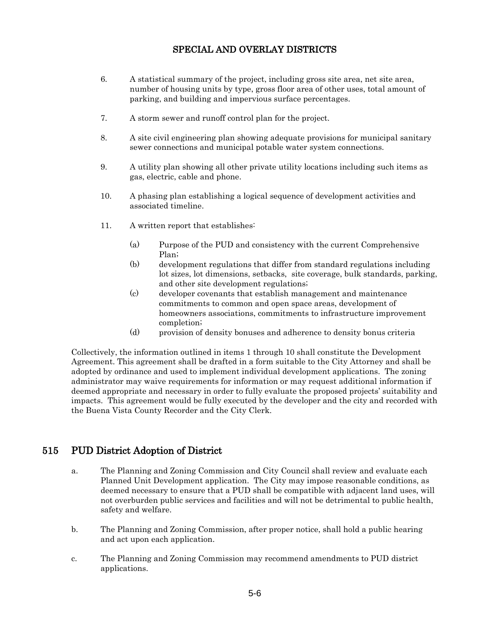- 6. A statistical summary of the project, including gross site area, net site area, number of housing units by type, gross floor area of other uses, total amount of parking, and building and impervious surface percentages.
- 7. A storm sewer and runoff control plan for the project.
- 8. A site civil engineering plan showing adequate provisions for municipal sanitary sewer connections and municipal potable water system connections.
- 9. A utility plan showing all other private utility locations including such items as gas, electric, cable and phone.
- 10. A phasing plan establishing a logical sequence of development activities and associated timeline.
- 11. A written report that establishes:
	- (a) Purpose of the PUD and consistency with the current Comprehensive Plan;
	- (b) development regulations that differ from standard regulations including lot sizes, lot dimensions, setbacks, site coverage, bulk standards, parking, and other site development regulations;
	- (c) developer covenants that establish management and maintenance commitments to common and open space areas, development of homeowners associations, commitments to infrastructure improvement completion;
	- (d) provision of density bonuses and adherence to density bonus criteria

Collectively, the information outlined in items 1 through 10 shall constitute the Development Agreement. This agreement shall be drafted in a form suitable to the City Attorney and shall be adopted by ordinance and used to implement individual development applications. The zoning administrator may waive requirements for information or may request additional information if deemed appropriate and necessary in order to fully evaluate the proposed projects' suitability and impacts. This agreement would be fully executed by the developer and the city and recorded with the Buena Vista County Recorder and the City Clerk.

## 515 PUD District Adoption of District

- a. The Planning and Zoning Commission and City Council shall review and evaluate each Planned Unit Development application. The City may impose reasonable conditions, as deemed necessary to ensure that a PUD shall be compatible with adjacent land uses, will not overburden public services and facilities and will not be detrimental to public health, safety and welfare.
- b. The Planning and Zoning Commission, after proper notice, shall hold a public hearing and act upon each application.
- c. The Planning and Zoning Commission may recommend amendments to PUD district applications.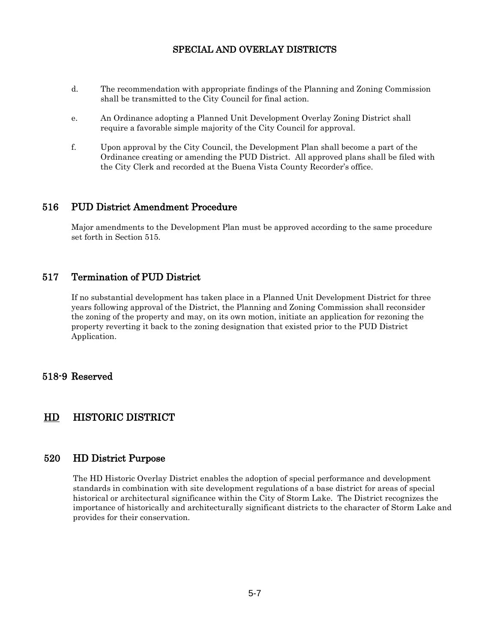- d. The recommendation with appropriate findings of the Planning and Zoning Commission shall be transmitted to the City Council for final action.
- e. An Ordinance adopting a Planned Unit Development Overlay Zoning District shall require a favorable simple majority of the City Council for approval.
- f. Upon approval by the City Council, the Development Plan shall become a part of the Ordinance creating or amending the PUD District. All approved plans shall be filed with the City Clerk and recorded at the Buena Vista County Recorder's office.

#### 516 PUD District Amendment Procedure

Major amendments to the Development Plan must be approved according to the same procedure set forth in Section 515.

#### 517 Termination of PUD District

If no substantial development has taken place in a Planned Unit Development District for three years following approval of the District, the Planning and Zoning Commission shall reconsider the zoning of the property and may, on its own motion, initiate an application for rezoning the property reverting it back to the zoning designation that existed prior to the PUD District Application.

#### 518-9 Reserved

#### HD HISTORIC DISTRICT

#### 520 HD District Purpose

The HD Historic Overlay District enables the adoption of special performance and development standards in combination with site development regulations of a base district for areas of special historical or architectural significance within the City of Storm Lake. The District recognizes the importance of historically and architecturally significant districts to the character of Storm Lake and provides for their conservation.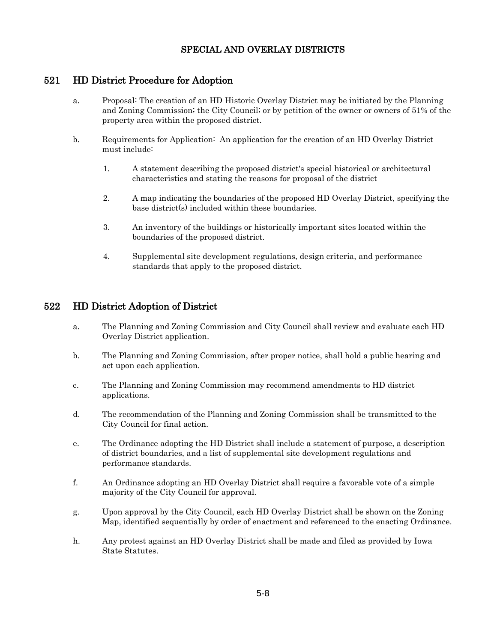## 521 HD District Procedure for Adoption

- a. Proposal: The creation of an HD Historic Overlay District may be initiated by the Planning and Zoning Commission; the City Council; or by petition of the owner or owners of 51% of the property area within the proposed district.
- b. Requirements for Application: An application for the creation of an HD Overlay District must include:
	- 1. A statement describing the proposed district's special historical or architectural characteristics and stating the reasons for proposal of the district
	- 2. A map indicating the boundaries of the proposed HD Overlay District, specifying the base district(s) included within these boundaries.
	- 3. An inventory of the buildings or historically important sites located within the boundaries of the proposed district.
	- 4. Supplemental site development regulations, design criteria, and performance standards that apply to the proposed district.

## 522 HD District Adoption of District

- a. The Planning and Zoning Commission and City Council shall review and evaluate each HD Overlay District application.
- b. The Planning and Zoning Commission, after proper notice, shall hold a public hearing and act upon each application.
- c. The Planning and Zoning Commission may recommend amendments to HD district applications.
- d. The recommendation of the Planning and Zoning Commission shall be transmitted to the City Council for final action.
- e. The Ordinance adopting the HD District shall include a statement of purpose, a description of district boundaries, and a list of supplemental site development regulations and performance standards.
- f. An Ordinance adopting an HD Overlay District shall require a favorable vote of a simple majority of the City Council for approval.
- g. Upon approval by the City Council, each HD Overlay District shall be shown on the Zoning Map, identified sequentially by order of enactment and referenced to the enacting Ordinance.
- h. Any protest against an HD Overlay District shall be made and filed as provided by Iowa State Statutes.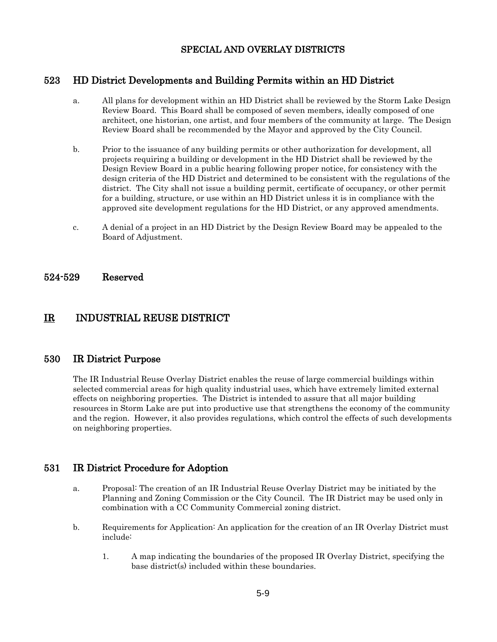## 523 HD District Developments and Building Permits within an HD District

- a. All plans for development within an HD District shall be reviewed by the Storm Lake Design Review Board. This Board shall be composed of seven members, ideally composed of one architect, one historian, one artist, and four members of the community at large. The Design Review Board shall be recommended by the Mayor and approved by the City Council.
- b. Prior to the issuance of any building permits or other authorization for development, all projects requiring a building or development in the HD District shall be reviewed by the Design Review Board in a public hearing following proper notice, for consistency with the design criteria of the HD District and determined to be consistent with the regulations of the district. The City shall not issue a building permit, certificate of occupancy, or other permit for a building, structure, or use within an HD District unless it is in compliance with the approved site development regulations for the HD District, or any approved amendments.
- c. A denial of a project in an HD District by the Design Review Board may be appealed to the Board of Adjustment.

#### 524-529 Reserved

## IR INDUSTRIAL REUSE DISTRICT

#### 530 IR District Purpose

The IR Industrial Reuse Overlay District enables the reuse of large commercial buildings within selected commercial areas for high quality industrial uses, which have extremely limited external effects on neighboring properties. The District is intended to assure that all major building resources in Storm Lake are put into productive use that strengthens the economy of the community and the region. However, it also provides regulations, which control the effects of such developments on neighboring properties.

## 531 IR District Procedure for Adoption

- a. Proposal: The creation of an IR Industrial Reuse Overlay District may be initiated by the Planning and Zoning Commission or the City Council. The IR District may be used only in combination with a CC Community Commercial zoning district.
- b. Requirements for Application: An application for the creation of an IR Overlay District must include:
	- 1. A map indicating the boundaries of the proposed IR Overlay District, specifying the base district(s) included within these boundaries.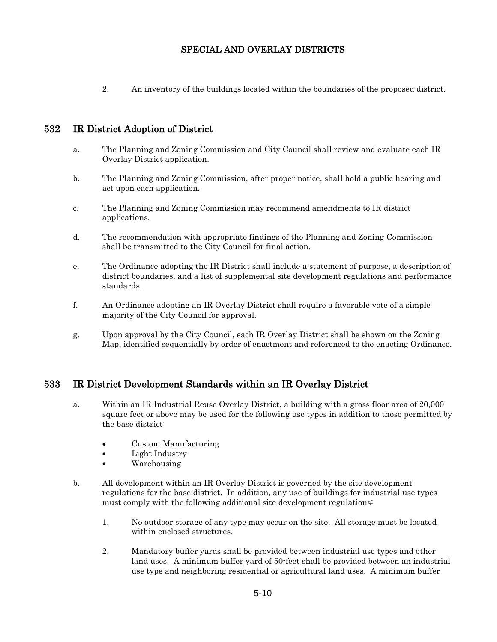2. An inventory of the buildings located within the boundaries of the proposed district.

## 532 IR District Adoption of District

- a. The Planning and Zoning Commission and City Council shall review and evaluate each IR Overlay District application.
- b. The Planning and Zoning Commission, after proper notice, shall hold a public hearing and act upon each application.
- c. The Planning and Zoning Commission may recommend amendments to IR district applications.
- d. The recommendation with appropriate findings of the Planning and Zoning Commission shall be transmitted to the City Council for final action.
- e. The Ordinance adopting the IR District shall include a statement of purpose, a description of district boundaries, and a list of supplemental site development regulations and performance standards.
- f. An Ordinance adopting an IR Overlay District shall require a favorable vote of a simple majority of the City Council for approval.
- g. Upon approval by the City Council, each IR Overlay District shall be shown on the Zoning Map, identified sequentially by order of enactment and referenced to the enacting Ordinance.

# 533 IR District Development Standards within an IR Overlay District

- a. Within an IR Industrial Reuse Overlay District, a building with a gross floor area of 20,000 square feet or above may be used for the following use types in addition to those permitted by the base district:
	- Custom Manufacturing
	- Light Industry
	- Warehousing
- b. All development within an IR Overlay District is governed by the site development regulations for the base district. In addition, any use of buildings for industrial use types must comply with the following additional site development regulations:
	- 1. No outdoor storage of any type may occur on the site. All storage must be located within enclosed structures.
	- 2. Mandatory buffer yards shall be provided between industrial use types and other land uses. A minimum buffer yard of 50-feet shall be provided between an industrial use type and neighboring residential or agricultural land uses. A minimum buffer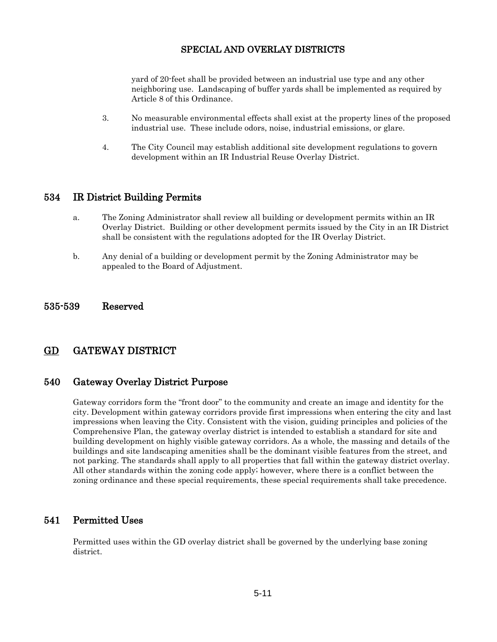yard of 20-feet shall be provided between an industrial use type and any other neighboring use. Landscaping of buffer yards shall be implemented as required by Article 8 of this Ordinance.

- 3. No measurable environmental effects shall exist at the property lines of the proposed industrial use. These include odors, noise, industrial emissions, or glare.
- 4. The City Council may establish additional site development regulations to govern development within an IR Industrial Reuse Overlay District.

#### 534 IR District Building Permits

- a. The Zoning Administrator shall review all building or development permits within an IR Overlay District. Building or other development permits issued by the City in an IR District shall be consistent with the regulations adopted for the IR Overlay District.
- b. Any denial of a building or development permit by the Zoning Administrator may be appealed to the Board of Adjustment.

#### 535-539 Reserved

## GD GATEWAY DISTRICT

#### 540 Gateway Overlay District Purpose

Gateway corridors form the "front door" to the community and create an image and identity for the city. Development within gateway corridors provide first impressions when entering the city and last impressions when leaving the City. Consistent with the vision, guiding principles and policies of the Comprehensive Plan, the gateway overlay district is intended to establish a standard for site and building development on highly visible gateway corridors. As a whole, the massing and details of the buildings and site landscaping amenities shall be the dominant visible features from the street, and not parking. The standards shall apply to all properties that fall within the gateway district overlay. All other standards within the zoning code apply; however, where there is a conflict between the zoning ordinance and these special requirements, these special requirements shall take precedence.

#### 541 Permitted Uses

Permitted uses within the GD overlay district shall be governed by the underlying base zoning district.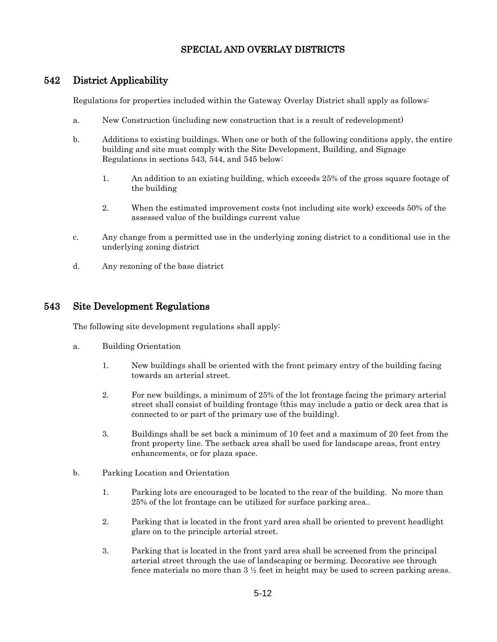# 542 District Applicability

Regulations for properties included within the Gateway Overlay District shall apply as follows:

- a. New Construction (including new construction that is a result of redevelopment)
- b. Additions to existing buildings. When one or both of the following conditions apply, the entire building and site must comply with the Site Development, Building, and Signage Regulations in sections 543, 544, and 545 below:
	- 1. An addition to an existing building, which exceeds 25% of the gross square footage of the building
	- 2. When the estimated improvement costs (not including site work) exceeds 50% of the assessed value of the buildings current value
- c. Any change from a permitted use in the underlying zoning district to a conditional use in the underlying zoning district
- d. Any rezoning of the base district

# 543 Site Development Regulations

The following site development regulations shall apply:

- a. Building Orientation
	- 1. New buildings shall be oriented with the front primary entry of the building facing towards an arterial street.
	- 2. For new buildings, a minimum of 25% of the lot frontage facing the primary arterial street shall consist of building frontage (this may include a patio or deck area that is connected to or part of the primary use of the building).
	- 3. Buildings shall be set back a minimum of 10 feet and a maximum of 20 feet from the front property line. The setback area shall be used for landscape areas, front entry enhancements, or for plaza space.
- b. Parking Location and Orientation
	- 1. Parking lots are encouraged to be located to the rear of the building. No more than 25% of the lot frontage can be utilized for surface parking area..
	- 2. Parking that is located in the front yard area shall be oriented to prevent headlight glare on to the principle arterial street.
	- 3. Parking that is located in the front yard area shall be screened from the principal arterial street through the use of landscaping or berming. Decorative see through fence materials no more than 3 ½ feet in height may be used to screen parking areas.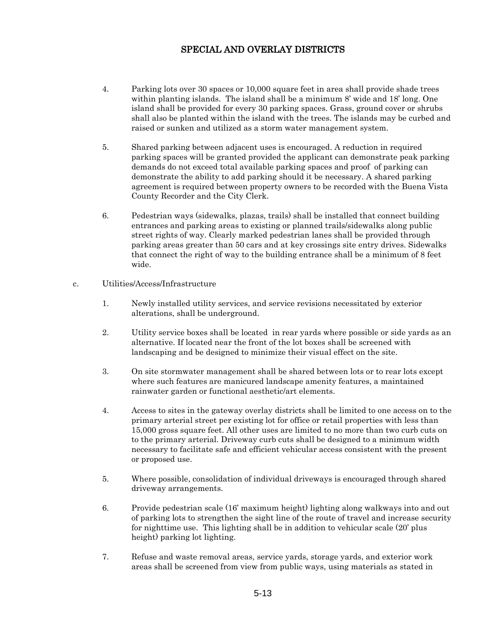- 4. Parking lots over 30 spaces or 10,000 square feet in area shall provide shade trees within planting islands. The island shall be a minimum 8' wide and 18' long. One island shall be provided for every 30 parking spaces. Grass, ground cover or shrubs shall also be planted within the island with the trees. The islands may be curbed and raised or sunken and utilized as a storm water management system.
- 5. Shared parking between adjacent uses is encouraged. A reduction in required parking spaces will be granted provided the applicant can demonstrate peak parking demands do not exceed total available parking spaces and proof of parking can demonstrate the ability to add parking should it be necessary. A shared parking agreement is required between property owners to be recorded with the Buena Vista County Recorder and the City Clerk.
- 6. Pedestrian ways (sidewalks, plazas, trails) shall be installed that connect building entrances and parking areas to existing or planned trails/sidewalks along public street rights of way. Clearly marked pedestrian lanes shall be provided through parking areas greater than 50 cars and at key crossings site entry drives. Sidewalks that connect the right of way to the building entrance shall be a minimum of 8 feet wide.

#### c. Utilities/Access/Infrastructure

- 1. Newly installed utility services, and service revisions necessitated by exterior alterations, shall be underground.
- 2. Utility service boxes shall be located in rear yards where possible or side yards as an alternative. If located near the front of the lot boxes shall be screened with landscaping and be designed to minimize their visual effect on the site.
- 3. On site stormwater management shall be shared between lots or to rear lots except where such features are manicured landscape amenity features, a maintained rainwater garden or functional aesthetic/art elements.
- 4. Access to sites in the gateway overlay districts shall be limited to one access on to the primary arterial street per existing lot for office or retail properties with less than 15,000 gross square feet. All other uses are limited to no more than two curb cuts on to the primary arterial. Driveway curb cuts shall be designed to a minimum width necessary to facilitate safe and efficient vehicular access consistent with the present or proposed use.
- 5. Where possible, consolidation of individual driveways is encouraged through shared driveway arrangements.
- 6. Provide pedestrian scale (16' maximum height) lighting along walkways into and out of parking lots to strengthen the sight line of the route of travel and increase security for nighttime use. This lighting shall be in addition to vehicular scale (20' plus height) parking lot lighting.
- 7. Refuse and waste removal areas, service yards, storage yards, and exterior work areas shall be screened from view from public ways, using materials as stated in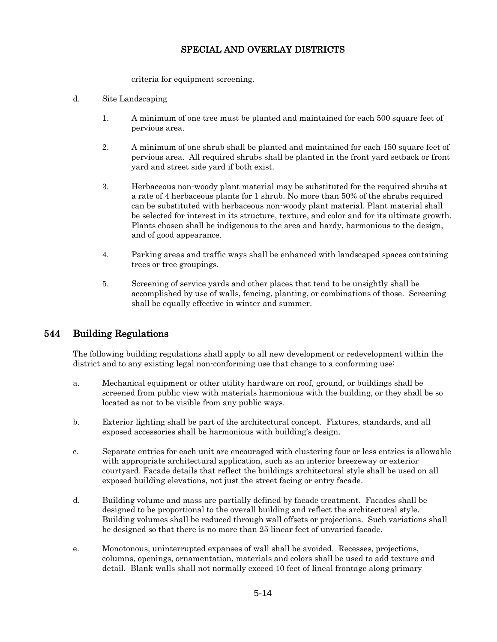criteria for equipment screening.

- d. Site Landscaping
	- 1. A minimum of one tree must be planted and maintained for each 500 square feet of pervious area.
	- 2. A minimum of one shrub shall be planted and maintained for each 150 square feet of pervious area. All required shrubs shall be planted in the front yard setback or front yard and street side yard if both exist.
	- 3. Herbaceous non-woody plant material may be substituted for the required shrubs at a rate of 4 herbaceous plants for 1 shrub. No more than 50% of the shrubs required can be substituted with herbaceous non-woody plant material. Plant material shall be selected for interest in its structure, texture, and color and for its ultimate growth. Plants chosen shall be indigenous to the area and hardy, harmonious to the design, and of good appearance.
	- 4. Parking areas and traffic ways shall be enhanced with landscaped spaces containing trees or tree groupings.
	- 5. Screening of service yards and other places that tend to be unsightly shall be accomplished by use of walls, fencing, planting, or combinations of those. Screening shall be equally effective in winter and summer.

# 544 Building Regulations

The following building regulations shall apply to all new development or redevelopment within the district and to any existing legal non-conforming use that change to a conforming use:

- a. Mechanical equipment or other utility hardware on roof, ground, or buildings shall be screened from public view with materials harmonious with the building, or they shall be so located as not to be visible from any public ways.
- b. Exterior lighting shall be part of the architectural concept. Fixtures, standards, and all exposed accessories shall be harmonious with building's design.
- c. Separate entries for each unit are encouraged with clustering four or less entries is allowable with appropriate architectural application, such as an interior breezeway or exterior courtyard. Facade details that reflect the buildings architectural style shall be used on all exposed building elevations, not just the street facing or entry facade.
- d. Building volume and mass are partially defined by facade treatment. Facades shall be designed to be proportional to the overall building and reflect the architectural style. Building volumes shall be reduced through wall offsets or projections. Such variations shall be designed so that there is no more than 25 linear feet of unvaried facade.
- e. Monotonous, uninterrupted expanses of wall shall be avoided. Recesses, projections, columns, openings, ornamentation, materials and colors shall be used to add texture and detail. Blank walls shall not normally exceed 10 feet of lineal frontage along primary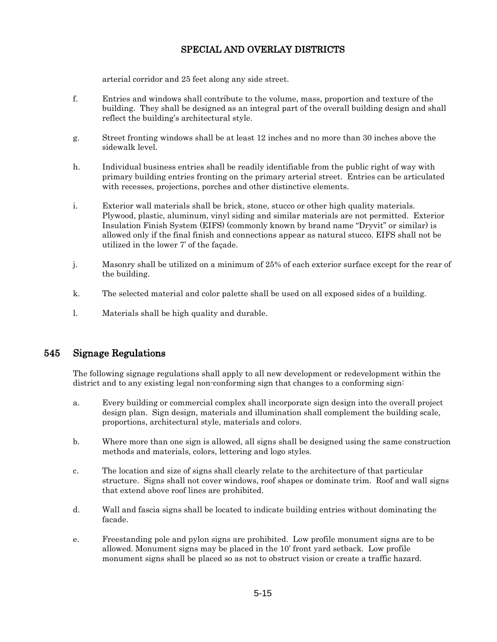arterial corridor and 25 feet along any side street.

- f. Entries and windows shall contribute to the volume, mass, proportion and texture of the building. They shall be designed as an integral part of the overall building design and shall reflect the building's architectural style.
- g. Street fronting windows shall be at least 12 inches and no more than 30 inches above the sidewalk level.
- h. Individual business entries shall be readily identifiable from the public right of way with primary building entries fronting on the primary arterial street. Entries can be articulated with recesses, projections, porches and other distinctive elements.
- i. Exterior wall materials shall be brick, stone, stucco or other high quality materials. Plywood, plastic, aluminum, vinyl siding and similar materials are not permitted. Exterior Insulation Finish System (EIFS) (commonly known by brand name "Dryvit" or similar) is allowed only if the final finish and connections appear as natural stucco. EIFS shall not be utilized in the lower 7' of the façade.
- j. Masonry shall be utilized on a minimum of 25% of each exterior surface except for the rear of the building.
- k. The selected material and color palette shall be used on all exposed sides of a building.
- l. Materials shall be high quality and durable.

# 545 Signage Regulations

The following signage regulations shall apply to all new development or redevelopment within the district and to any existing legal non-conforming sign that changes to a conforming sign:

- a. Every building or commercial complex shall incorporate sign design into the overall project design plan. Sign design, materials and illumination shall complement the building scale, proportions, architectural style, materials and colors.
- b. Where more than one sign is allowed, all signs shall be designed using the same construction methods and materials, colors, lettering and logo styles.
- c. The location and size of signs shall clearly relate to the architecture of that particular structure. Signs shall not cover windows, roof shapes or dominate trim. Roof and wall signs that extend above roof lines are prohibited.
- d. Wall and fascia signs shall be located to indicate building entries without dominating the facade.
- e. Freestanding pole and pylon signs are prohibited. Low profile monument signs are to be allowed. Monument signs may be placed in the 10' front yard setback. Low profile monument signs shall be placed so as not to obstruct vision or create a traffic hazard.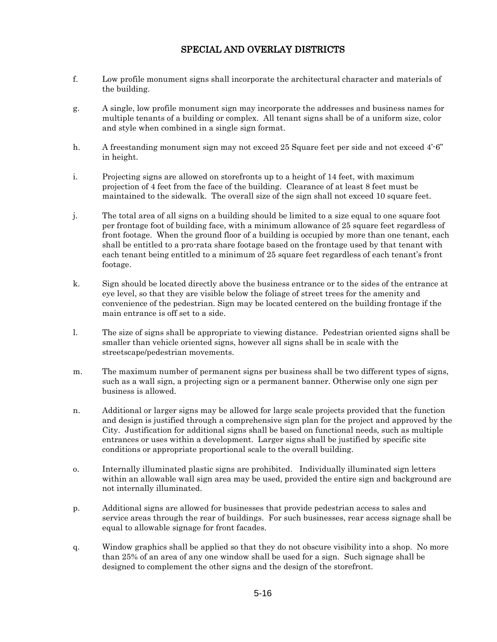- f. Low profile monument signs shall incorporate the architectural character and materials of the building.
- g. A single, low profile monument sign may incorporate the addresses and business names for multiple tenants of a building or complex. All tenant signs shall be of a uniform size, color and style when combined in a single sign format.
- h. A freestanding monument sign may not exceed 25 Square feet per side and not exceed 4'-6" in height.
- i. Projecting signs are allowed on storefronts up to a height of 14 feet, with maximum projection of 4 feet from the face of the building. Clearance of at least 8 feet must be maintained to the sidewalk. The overall size of the sign shall not exceed 10 square feet.
- j. The total area of all signs on a building should be limited to a size equal to one square foot per frontage foot of building face, with a minimum allowance of 25 square feet regardless of front footage. When the ground floor of a building is occupied by more than one tenant, each shall be entitled to a pro-rata share footage based on the frontage used by that tenant with each tenant being entitled to a minimum of 25 square feet regardless of each tenant's front footage.
- k. Sign should be located directly above the business entrance or to the sides of the entrance at eye level, so that they are visible below the foliage of street trees for the amenity and convenience of the pedestrian. Sign may be located centered on the building frontage if the main entrance is off set to a side.
- l. The size of signs shall be appropriate to viewing distance. Pedestrian oriented signs shall be smaller than vehicle oriented signs, however all signs shall be in scale with the streetscape/pedestrian movements.
- m. The maximum number of permanent signs per business shall be two different types of signs, such as a wall sign, a projecting sign or a permanent banner. Otherwise only one sign per business is allowed.
- n. Additional or larger signs may be allowed for large scale projects provided that the function and design is justified through a comprehensive sign plan for the project and approved by the City. Justification for additional signs shall be based on functional needs, such as multiple entrances or uses within a development. Larger signs shall be justified by specific site conditions or appropriate proportional scale to the overall building.
- o. Internally illuminated plastic signs are prohibited. Individually illuminated sign letters within an allowable wall sign area may be used, provided the entire sign and background are not internally illuminated.
- p. Additional signs are allowed for businesses that provide pedestrian access to sales and service areas through the rear of buildings. For such businesses, rear access signage shall be equal to allowable signage for front facades.
- q. Window graphics shall be applied so that they do not obscure visibility into a shop. No more than 25% of an area of any one window shall be used for a sign. Such signage shall be designed to complement the other signs and the design of the storefront.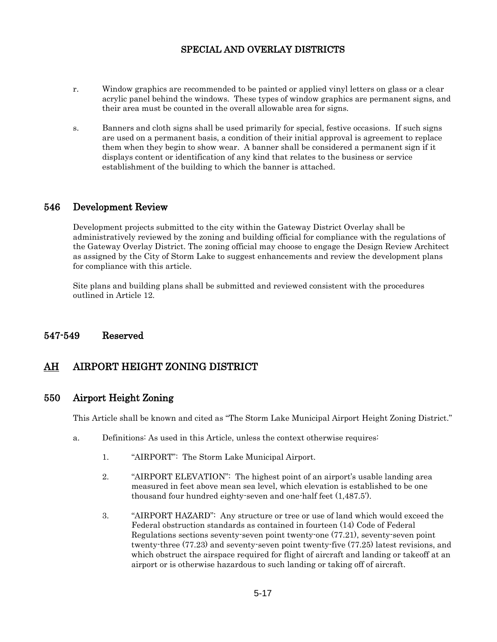- r. Window graphics are recommended to be painted or applied vinyl letters on glass or a clear acrylic panel behind the windows. These types of window graphics are permanent signs, and their area must be counted in the overall allowable area for signs.
- s. Banners and cloth signs shall be used primarily for special, festive occasions. If such signs are used on a permanent basis, a condition of their initial approval is agreement to replace them when they begin to show wear. A banner shall be considered a permanent sign if it displays content or identification of any kind that relates to the business or service establishment of the building to which the banner is attached.

## 546 Development Review

Development projects submitted to the city within the Gateway District Overlay shall be administratively reviewed by the zoning and building official for compliance with the regulations of the Gateway Overlay District. The zoning official may choose to engage the Design Review Architect as assigned by the City of Storm Lake to suggest enhancements and review the development plans for compliance with this article.

Site plans and building plans shall be submitted and reviewed consistent with the procedures outlined in Article 12.

# 547-549 Reserved

# AH AIRPORT HEIGHT ZONING DISTRICT

## 550 Airport Height Zoning

This Article shall be known and cited as "The Storm Lake Municipal Airport Height Zoning District."

- a. Definitions: As used in this Article, unless the context otherwise requires:
	- 1. "AIRPORT": The Storm Lake Municipal Airport.
	- 2. "AIRPORT ELEVATION": The highest point of an airport's usable landing area measured in feet above mean sea level, which elevation is established to be one thousand four hundred eighty-seven and one-half feet (1,487.5').
	- 3. "AIRPORT HAZARD": Any structure or tree or use of land which would exceed the Federal obstruction standards as contained in fourteen (14) Code of Federal Regulations sections seventy-seven point twenty-one (77.21), seventy-seven point twenty-three (77.23) and seventy-seven point twenty-five (77.25) latest revisions, and which obstruct the airspace required for flight of aircraft and landing or takeoff at an airport or is otherwise hazardous to such landing or taking off of aircraft.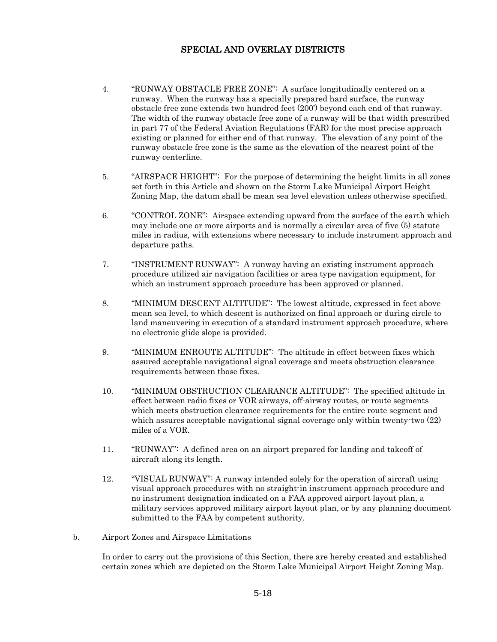- 4. "RUNWAY OBSTACLE FREE ZONE": A surface longitudinally centered on a runway. When the runway has a specially prepared hard surface, the runway obstacle free zone extends two hundred feet (200') beyond each end of that runway. The width of the runway obstacle free zone of a runway will be that width prescribed in part 77 of the Federal Aviation Regulations (FAR) for the most precise approach existing or planned for either end of that runway. The elevation of any point of the runway obstacle free zone is the same as the elevation of the nearest point of the runway centerline.
- 5. "AIRSPACE HEIGHT": For the purpose of determining the height limits in all zones set forth in this Article and shown on the Storm Lake Municipal Airport Height Zoning Map, the datum shall be mean sea level elevation unless otherwise specified.
- 6. "CONTROL ZONE": Airspace extending upward from the surface of the earth which may include one or more airports and is normally a circular area of five (5) statute miles in radius, with extensions where necessary to include instrument approach and departure paths.
- 7. "INSTRUMENT RUNWAY": A runway having an existing instrument approach procedure utilized air navigation facilities or area type navigation equipment, for which an instrument approach procedure has been approved or planned.
- 8. "MINIMUM DESCENT ALTITUDE": The lowest altitude, expressed in feet above mean sea level, to which descent is authorized on final approach or during circle to land maneuvering in execution of a standard instrument approach procedure, where no electronic glide slope is provided.
- 9. "MINIMUM ENROUTE ALTITUDE": The altitude in effect between fixes which assured acceptable navigational signal coverage and meets obstruction clearance requirements between those fixes.
- 10. "MINIMUM OBSTRUCTION CLEARANCE ALTITUDE": The specified altitude in effect between radio fixes or VOR airways, off-airway routes, or route segments which meets obstruction clearance requirements for the entire route segment and which assures acceptable navigational signal coverage only within twenty-two (22) miles of a VOR.
- 11. "RUNWAY": A defined area on an airport prepared for landing and takeoff of aircraft along its length.
- 12. "VISUAL RUNWAY": A runway intended solely for the operation of aircraft using visual approach procedures with no straight-in instrument approach procedure and no instrument designation indicated on a FAA approved airport layout plan, a military services approved military airport layout plan, or by any planning document submitted to the FAA by competent authority.
- b. Airport Zones and Airspace Limitations

In order to carry out the provisions of this Section, there are hereby created and established certain zones which are depicted on the Storm Lake Municipal Airport Height Zoning Map.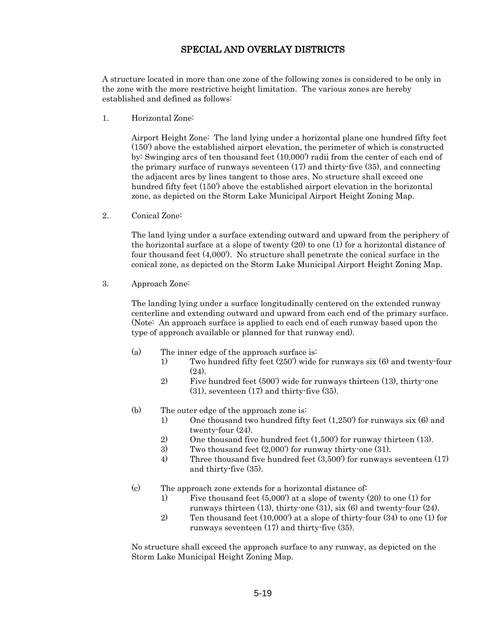A structure located in more than one zone of the following zones is considered to be only in the zone with the more restrictive height limitation. The various zones are hereby established and defined as follows:

1. Horizontal Zone:

Airport Height Zone: The land lying under a horizontal plane one hundred fifty feet (150') above the established airport elevation, the perimeter of which is constructed by: Swinging arcs of ten thousand feet (10,000') radii from the center of each end of the primary surface of runways seventeen (17) and thirty-five (35), and connecting the adjacent arcs by lines tangent to those arcs. No structure shall exceed one hundred fifty feet (150') above the established airport elevation in the horizontal zone, as depicted on the Storm Lake Municipal Airport Height Zoning Map.

2. Conical Zone:

The land lying under a surface extending outward and upward from the periphery of the horizontal surface at a slope of twenty (20) to one (1) for a horizontal distance of four thousand feet (4,000'). No structure shall penetrate the conical surface in the conical zone, as depicted on the Storm Lake Municipal Airport Height Zoning Map.

3. Approach Zone:

The landing lying under a surface longitudinally centered on the extended runway centerline and extending outward and upward from each end of the primary surface. (Note: An approach surface is applied to each end of each runway based upon the type of approach available or planned for that runway end).

- (a) The inner edge of the approach surface is:
	- 1) Two hundred fifty feet (250') wide for runways six (6) and twenty-four (24).
	- 2) Five hundred feet (500') wide for runways thirteen (13), thirty-one (31), seventeen (17) and thirty-five (35).
- (b) The outer edge of the approach zone is:
	- 1) One thousand two hundred fifty feet  $(1,250)$  for runways six  $(6)$  and twenty-four (24).
	- 2) One thousand five hundred feet  $(1,500)$  for runway thirteen  $(13)$ .
	- 3) Two thousand feet (2,000') for runway thirty-one (31).
	- 4) Three thousand five hundred feet (3,500') for runways seventeen (17) and thirty-five (35).
- (c) The approach zone extends for a horizontal distance of:
	- 1) Five thousand feet (5,000') at a slope of twenty (20) to one (1) for runways thirteen (13), thirty-one (31), six (6) and twenty-four (24).
	- 2) Ten thousand feet  $(10,000)$  at a slope of thirty-four  $(34)$  to one  $(1)$  for runways seventeen (17) and thirty-five (35).

No structure shall exceed the approach surface to any runway, as depicted on the Storm Lake Municipal Height Zoning Map.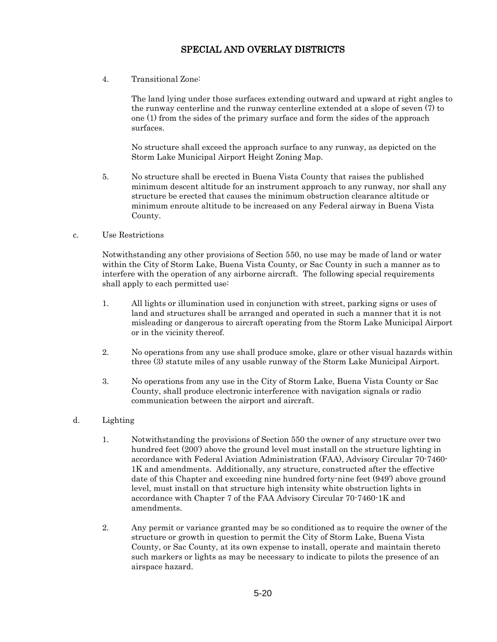4. Transitional Zone:

The land lying under those surfaces extending outward and upward at right angles to the runway centerline and the runway centerline extended at a slope of seven (7) to one (1) from the sides of the primary surface and form the sides of the approach surfaces.

No structure shall exceed the approach surface to any runway, as depicted on the Storm Lake Municipal Airport Height Zoning Map.

5. No structure shall be erected in Buena Vista County that raises the published minimum descent altitude for an instrument approach to any runway, nor shall any structure be erected that causes the minimum obstruction clearance altitude or minimum enroute altitude to be increased on any Federal airway in Buena Vista County.

#### c. Use Restrictions

Notwithstanding any other provisions of Section 550, no use may be made of land or water within the City of Storm Lake, Buena Vista County, or Sac County in such a manner as to interfere with the operation of any airborne aircraft. The following special requirements shall apply to each permitted use:

- 1. All lights or illumination used in conjunction with street, parking signs or uses of land and structures shall be arranged and operated in such a manner that it is not misleading or dangerous to aircraft operating from the Storm Lake Municipal Airport or in the vicinity thereof.
- 2. No operations from any use shall produce smoke, glare or other visual hazards within three (3) statute miles of any usable runway of the Storm Lake Municipal Airport.
- 3. No operations from any use in the City of Storm Lake, Buena Vista County or Sac County, shall produce electronic interference with navigation signals or radio communication between the airport and aircraft.

#### d. Lighting

- 1. Notwithstanding the provisions of Section 550 the owner of any structure over two hundred feet (200') above the ground level must install on the structure lighting in accordance with Federal Aviation Administration (FAA), Advisory Circular 70-7460- 1K and amendments. Additionally, any structure, constructed after the effective date of this Chapter and exceeding nine hundred forty-nine feet (949') above ground level, must install on that structure high intensity white obstruction lights in accordance with Chapter 7 of the FAA Advisory Circular 70-7460-1K and amendments.
- 2. Any permit or variance granted may be so conditioned as to require the owner of the structure or growth in question to permit the City of Storm Lake, Buena Vista County, or Sac County, at its own expense to install, operate and maintain thereto such markers or lights as may be necessary to indicate to pilots the presence of an airspace hazard.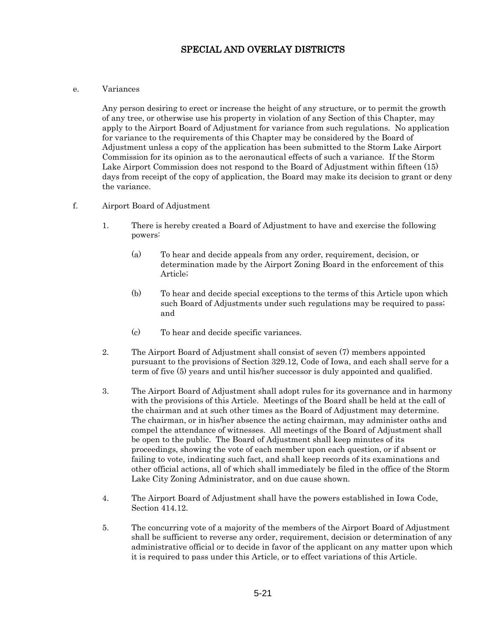#### e. Variances

Any person desiring to erect or increase the height of any structure, or to permit the growth of any tree, or otherwise use his property in violation of any Section of this Chapter, may apply to the Airport Board of Adjustment for variance from such regulations. No application for variance to the requirements of this Chapter may be considered by the Board of Adjustment unless a copy of the application has been submitted to the Storm Lake Airport Commission for its opinion as to the aeronautical effects of such a variance. If the Storm Lake Airport Commission does not respond to the Board of Adjustment within fifteen (15) days from receipt of the copy of application, the Board may make its decision to grant or deny the variance.

- f. Airport Board of Adjustment
	- 1. There is hereby created a Board of Adjustment to have and exercise the following powers:
		- (a) To hear and decide appeals from any order, requirement, decision, or determination made by the Airport Zoning Board in the enforcement of this Article;
		- (b) To hear and decide special exceptions to the terms of this Article upon which such Board of Adjustments under such regulations may be required to pass; and
		- (c) To hear and decide specific variances.
	- 2. The Airport Board of Adjustment shall consist of seven (7) members appointed pursuant to the provisions of Section 329.12, Code of Iowa, and each shall serve for a term of five (5) years and until his/her successor is duly appointed and qualified.
	- 3. The Airport Board of Adjustment shall adopt rules for its governance and in harmony with the provisions of this Article. Meetings of the Board shall be held at the call of the chairman and at such other times as the Board of Adjustment may determine. The chairman, or in his/her absence the acting chairman, may administer oaths and compel the attendance of witnesses. All meetings of the Board of Adjustment shall be open to the public. The Board of Adjustment shall keep minutes of its proceedings, showing the vote of each member upon each question, or if absent or failing to vote, indicating such fact, and shall keep records of its examinations and other official actions, all of which shall immediately be filed in the office of the Storm Lake City Zoning Administrator, and on due cause shown.
	- 4. The Airport Board of Adjustment shall have the powers established in Iowa Code, Section 414.12.
	- 5. The concurring vote of a majority of the members of the Airport Board of Adjustment shall be sufficient to reverse any order, requirement, decision or determination of any administrative official or to decide in favor of the applicant on any matter upon which it is required to pass under this Article, or to effect variations of this Article.